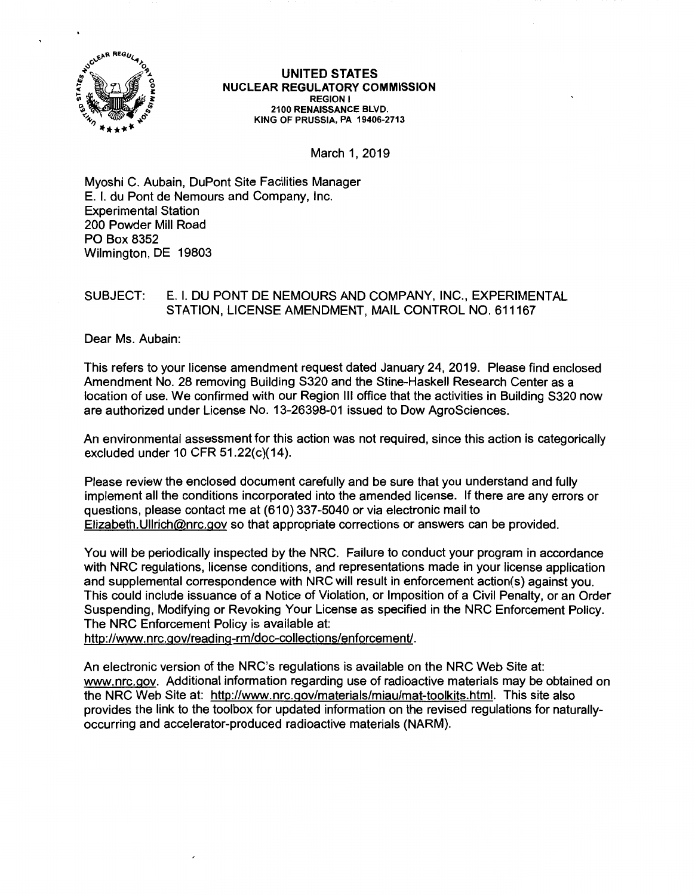

## **UNITED STATES NUCLEAR REGULATORY COMMISSION REGION** I **2100 RENAISSANCE BLVD. KING OF PRUSSIA, PA 19406-2713**

March 1, 2019

Myoshi C. Aubain, DuPont Site Facilities Manager E. I. du Pont de Nemours and Company, Inc. Experimental Station 200 Powder Mill Road PO Box 8352 Wilmington, DE 19803

## SUBJECT: E. I. DU PONT DE NEMOURS AND COMPANY, INC., EXPERIMENTAL STATION, LICENSE AMENDMENT, MAIL CONTROL NO. 611167

Dear Ms. Aubain:

This refers to your license amendment request dated January 24, 2019. Please find enclosed Amendment No. 28 removing Building S320 and the Stine-Haskell Research Center as a location of use. We confirmed with our Region Ill office that the activities in Building S320 now are authorized under License No. 13-26398-01 issued to Dow AgroSciences.

An environmental assessment for this action was not required, since this action is categorically excluded under 10 CFR 51.22(c)(14).

Please review the enclosed document carefully and be sure that you understand and fully implement all the conditions incorporated into the amended license. If there are any errors or questions, please contact me at (610) 337-5040 or via electronic mail to Elizabeth.Ullrich@nrc.gov so that appropriate corrections or answers can be provided.

You will be periodically inspected by the NRC. Failure to conduct your program in accordance with NRC regulations, license conditions, and representations made in your license application and supplemental correspondence with NRC will result in enforcement action(s) against you. This could include issuance of a Notice of Violation, or Imposition of a Civil Penalty, or an Order Suspending, Modifying or Revoking Your License as specified in the NRC Enforcement Policy. The NRC Enforcement Policy is available at:

http://www.nrc.gov/reading-rm/doc-collections/enforcement/.

An electronic version of the NRC's regulations is available on the NRC Web Site at: www.nrc.gov. Additional information regarding use of radioactive materials may be obtained on the NRC Web Site at: http://www.nrc.gov/materials/miau/mat-toolkits.html. This site also provides the link to the toolbox for updated information on the revised regulations for naturallyoccurring and accelerator-produced radioactive materials (NARM).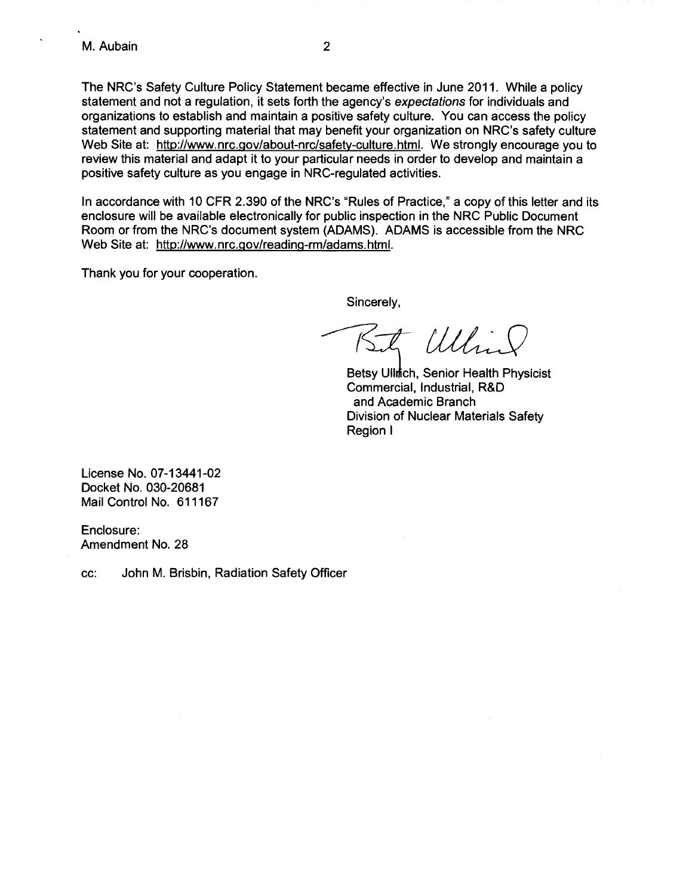The NRC's Safety Culture Policy Statement became effective in June 2011. While a policy statement and not a regulation, it sets forth the agency's expectations for individuals and organizations to establish and maintain a positive safety culture. You can access the policy statement and supporting material that may benefit your organization on NRC's safety culture Web Site at: http://www.nrc.gov/about-nrc/safety-culture.html. We strongly encourage you to review this material and adapt it to your particular needs in order to develop and maintain a positive safety culture as you engage in NRC-regulated activities.

In accordance with 10 CFR 2.390 of the NRC's "Rules of Practice," a copy of this letter and its enclosure will be available electronically for public inspection in the NRC Public Document Room or from the NRC's document system (ADAMS). ADAMS is accessible from the NRC Web Site at: http://www.nrc.gov/readinq-rm/adams.html.

Thank you for your cooperation.

Sincerely,

 $\sqrt{d}$  *Utlin* 

Betsy Uilmch, Senior Health Physicist Commercial, Industrial, R&D and Academic Branch Division of Nuclear Materials Safety Region I

License No. 07-13441-02 Docket No. 030-20681 Mail Control No. 611167

Enclosure: Amendment No. 28

cc: John M. Brisbin, Radiation Safety Officer